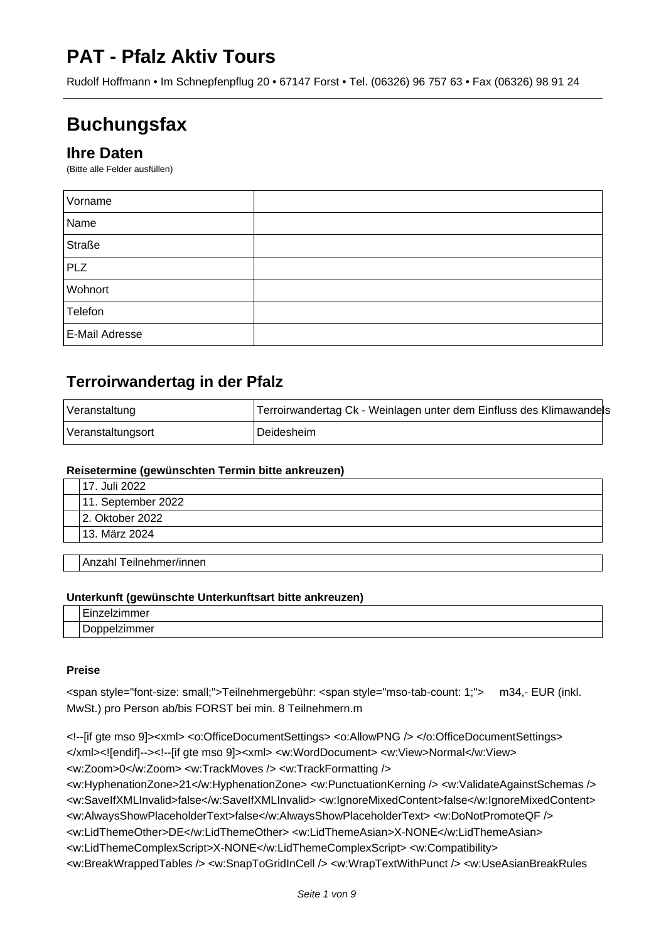Rudolf Hoffmann • Im Schnepfenpflug 20 • 67147 Forst • Tel. (06326) 96 757 63 • Fax (06326) 98 91 24

# **Buchungsfax**

#### **Ihre Daten**

(Bitte alle Felder ausfüllen)

| Vorname        |  |
|----------------|--|
| Name           |  |
| <b>Straße</b>  |  |
| <b>PLZ</b>     |  |
| Wohnort        |  |
| Telefon        |  |
| E-Mail Adresse |  |

#### **Terroirwandertag in der Pfalz**

| Veranstaltung     | Terroirwandertag Ck - Weinlagen unter dem Einfluss des Klimawandess |
|-------------------|---------------------------------------------------------------------|
| Veranstaltungsort | Deidesheim                                                          |

#### **Reisetermine (gewünschten Termin bitte ankreuzen)**

| --                 |
|--------------------|
| 17. Juli 2022      |
| 11. September 2022 |
| 2. Oktober 2022    |
| 13. März 2024      |
|                    |

Anzahl Teilnehmer/innen

#### **Unterkunft (gewünschte Unterkunftsart bitte ankreuzen)**

| $-$<br>- -<br>่เน |
|-------------------|
| 11 J              |

#### **Preise**

<span style="font-size: small;">Teilnehmergebühr: <span style="mso-tab-count: 1;"> m34,- EUR (inkl. MwSt.) pro Person ab/bis FORST bei min. 8 Teilnehmern.m

<!--[if gte mso 9]><xml> <o:OfficeDocumentSettings> <o:AllowPNG /> </o:OfficeDocumentSettings> </xml><![endif]--><!--[if gte mso 9]><xml> <w:WordDocument> <w:View>Normal</w:View> <w:Zoom>0</w:Zoom> <w:TrackMoves /> <w:TrackFormatting /> <w:HyphenationZone>21</w:HyphenationZone> <w:PunctuationKerning /> <w:ValidateAgainstSchemas /> <w:SaveIfXMLInvalid>false</w:SaveIfXMLInvalid> <w:IgnoreMixedContent>false</w:IgnoreMixedContent> <w:AlwaysShowPlaceholderText>false</w:AlwaysShowPlaceholderText> <w:DoNotPromoteQF /> <w:LidThemeOther>DE</w:LidThemeOther> <w:LidThemeAsian>X-NONE</w:LidThemeAsian> <w:LidThemeComplexScript>X-NONE</w:LidThemeComplexScript> <w:Compatibility> <w:BreakWrappedTables /> <w:SnapToGridInCell /> <w:WrapTextWithPunct /> <w:UseAsianBreakRules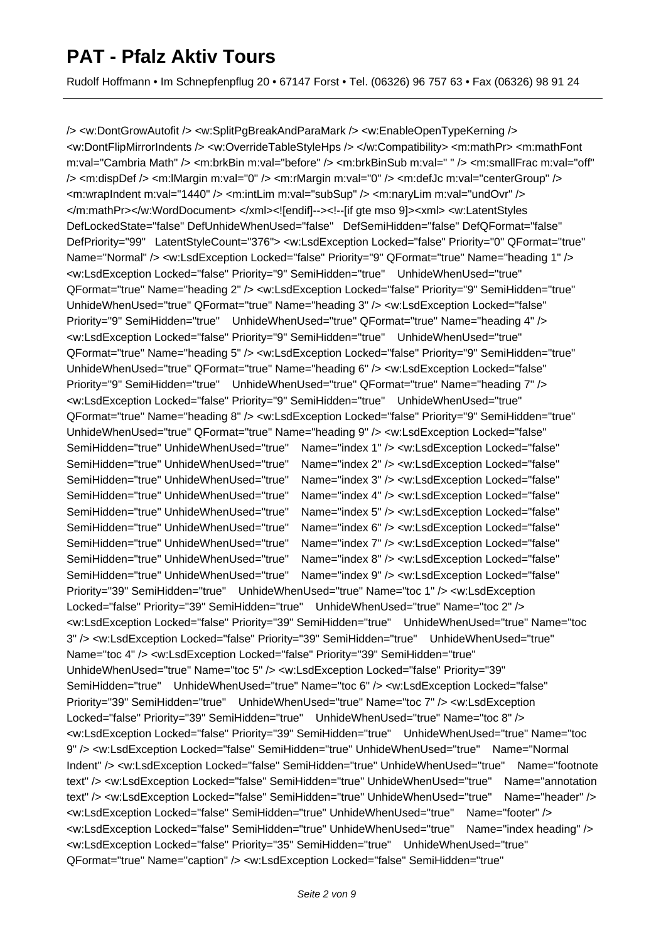Rudolf Hoffmann • Im Schnepfenpflug 20 • 67147 Forst • Tel. (06326) 96 757 63 • Fax (06326) 98 91 24

/> <w:DontGrowAutofit /> <w:SplitPgBreakAndParaMark /> <w:EnableOpenTypeKerning /> <w:DontFlipMirrorIndents /> <w:OverrideTableStyleHps /> </w:Compatibility> <m:mathPr> <m:mathFont m:val="Cambria Math" /> <m:brkBin m:val="before" /> <m:brkBinSub m:val=" " /> <m:smallFrac m:val="off" /> <m:dispDef /> <m:lMargin m:val="0" /> <m:rMargin m:val="0" /> <m:defJc m:val="centerGroup" /> <m:wrapIndent m:val="1440" /> <m:intLim m:val="subSup" /> <m:naryLim m:val="undOvr" /> </m:mathPr></w:WordDocument> </xml><![endif]--><!--[if gte mso 9]><xml> <w:LatentStyles DefLockedState="false" DefUnhideWhenUsed="false" DefSemiHidden="false" DefQFormat="false" DefPriority="99" LatentStyleCount="376"> <w:LsdException Locked="false" Priority="0" QFormat="true" Name="Normal" /> <w:LsdException Locked="false" Priority="9" QFormat="true" Name="heading 1" /> <w:LsdException Locked="false" Priority="9" SemiHidden="true" UnhideWhenUsed="true" QFormat="true" Name="heading 2" /> <w:LsdException Locked="false" Priority="9" SemiHidden="true" UnhideWhenUsed="true" QFormat="true" Name="heading 3" /> <w:LsdException Locked="false" Priority="9" SemiHidden="true" UnhideWhenUsed="true" QFormat="true" Name="heading 4" /> <w:LsdException Locked="false" Priority="9" SemiHidden="true" UnhideWhenUsed="true" QFormat="true" Name="heading 5" /> <w:LsdException Locked="false" Priority="9" SemiHidden="true" UnhideWhenUsed="true" QFormat="true" Name="heading 6" /> <w:LsdException Locked="false" Priority="9" SemiHidden="true" UnhideWhenUsed="true" QFormat="true" Name="heading 7" /> <w:LsdException Locked="false" Priority="9" SemiHidden="true" UnhideWhenUsed="true" QFormat="true" Name="heading 8" /> <w:LsdException Locked="false" Priority="9" SemiHidden="true" UnhideWhenUsed="true" QFormat="true" Name="heading 9" /> <w:LsdException Locked="false" SemiHidden="true" UnhideWhenUsed="true" Name="index 1" /> <w:LsdException Locked="false" SemiHidden="true" UnhideWhenUsed="true" Name="index 2" /> <w:LsdException Locked="false" SemiHidden="true" UnhideWhenUsed="true" Name="index 3" /> <w:LsdException Locked="false" SemiHidden="true" UnhideWhenUsed="true" Name="index 4" /> <w:LsdException Locked="false" SemiHidden="true" UnhideWhenUsed="true" Name="index 5" /> <w:LsdException Locked="false" SemiHidden="true" UnhideWhenUsed="true" Name="index 6" /> <w:LsdException Locked="false" SemiHidden="true" UnhideWhenUsed="true" Name="index 7" /> <w:LsdException Locked="false" SemiHidden="true" UnhideWhenUsed="true" Name="index 8" /> <w:LsdException Locked="false" SemiHidden="true" UnhideWhenUsed="true" Name="index 9" /> <w:LsdException Locked="false" Priority="39" SemiHidden="true" UnhideWhenUsed="true" Name="toc 1" /> <w:LsdException Locked="false" Priority="39" SemiHidden="true" UnhideWhenUsed="true" Name="toc 2" /> <w:LsdException Locked="false" Priority="39" SemiHidden="true" UnhideWhenUsed="true" Name="toc 3" /> <w:LsdException Locked="false" Priority="39" SemiHidden="true" UnhideWhenUsed="true" Name="toc 4" /> <w:LsdException Locked="false" Priority="39" SemiHidden="true" UnhideWhenUsed="true" Name="toc 5" /> <w:LsdException Locked="false" Priority="39" SemiHidden="true" UnhideWhenUsed="true" Name="toc 6" /> <w:LsdException Locked="false" Priority="39" SemiHidden="true" UnhideWhenUsed="true" Name="toc 7" /> <w:LsdException Locked="false" Priority="39" SemiHidden="true" UnhideWhenUsed="true" Name="toc 8" /> <w:LsdException Locked="false" Priority="39" SemiHidden="true" UnhideWhenUsed="true" Name="toc 9" /> <w:LsdException Locked="false" SemiHidden="true" UnhideWhenUsed="true" Name="Normal Indent" /> <w:LsdException Locked="false" SemiHidden="true" UnhideWhenUsed="true" Name="footnote text" /> <w:LsdException Locked="false" SemiHidden="true" UnhideWhenUsed="true" Name="annotation text" /> <w:LsdException Locked="false" SemiHidden="true" UnhideWhenUsed="true" Name="header" /> <w:LsdException Locked="false" SemiHidden="true" UnhideWhenUsed="true" Name="footer" /> <w:LsdException Locked="false" SemiHidden="true" UnhideWhenUsed="true" Name="index heading" /> <w:LsdException Locked="false" Priority="35" SemiHidden="true" UnhideWhenUsed="true" QFormat="true" Name="caption" /> <w:LsdException Locked="false" SemiHidden="true"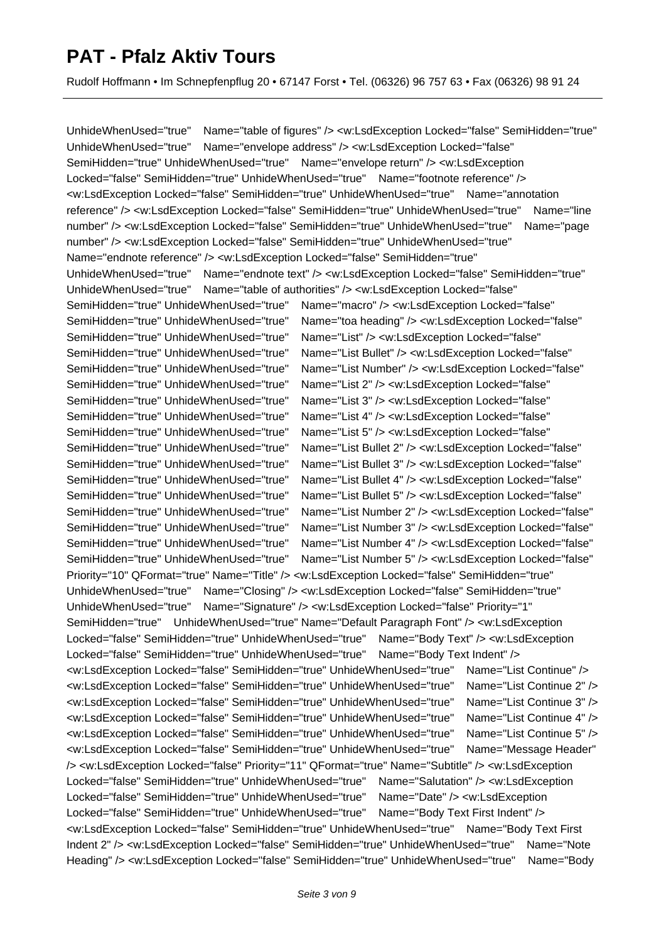Rudolf Hoffmann • Im Schnepfenpflug 20 • 67147 Forst • Tel. (06326) 96 757 63 • Fax (06326) 98 91 24

UnhideWhenUsed="true" Name="table of figures" /> <w:LsdException Locked="false" SemiHidden="true" UnhideWhenUsed="true" Name="envelope address" /> <w:LsdException Locked="false" SemiHidden="true" UnhideWhenUsed="true" Name="envelope return" /> <w:LsdException Locked="false" SemiHidden="true" UnhideWhenUsed="true" Name="footnote reference" /> <w:LsdException Locked="false" SemiHidden="true" UnhideWhenUsed="true" Name="annotation reference" /> <w:LsdException Locked="false" SemiHidden="true" UnhideWhenUsed="true" Name="line number" /> <w:LsdException Locked="false" SemiHidden="true" UnhideWhenUsed="true" Name="page number" /> <w:LsdException Locked="false" SemiHidden="true" UnhideWhenUsed="true" Name="endnote reference" /> <w:LsdException Locked="false" SemiHidden="true" UnhideWhenUsed="true" Name="endnote text" /> <w:LsdException Locked="false" SemiHidden="true" UnhideWhenUsed="true" Name="table of authorities" /> <w:LsdException Locked="false" SemiHidden="true" UnhideWhenUsed="true" Name="macro" /> <w:LsdException Locked="false" SemiHidden="true" UnhideWhenUsed="true" Name="toa heading" /> <w:LsdException Locked="false" SemiHidden="true" UnhideWhenUsed="true" Name="List" /> <w:LsdException Locked="false" SemiHidden="true" UnhideWhenUsed="true" Name="List Bullet" /> <w:LsdException Locked="false" SemiHidden="true" UnhideWhenUsed="true" Name="List Number" /> <w:LsdException Locked="false" SemiHidden="true" UnhideWhenUsed="true" Name="List 2" /> <w:LsdException Locked="false" SemiHidden="true" UnhideWhenUsed="true" Name="List 3" /> <w:LsdException Locked="false" SemiHidden="true" UnhideWhenUsed="true" Name="List 4" /> <w:LsdException Locked="false" SemiHidden="true" UnhideWhenUsed="true" Name="List 5" /> <w:LsdException Locked="false" SemiHidden="true" UnhideWhenUsed="true" Name="List Bullet 2" /> <w:LsdException Locked="false" SemiHidden="true" UnhideWhenUsed="true" Name="List Bullet 3" /> <w:LsdException Locked="false" SemiHidden="true" UnhideWhenUsed="true" Name="List Bullet 4" /> <w:LsdException Locked="false" SemiHidden="true" UnhideWhenUsed="true" Name="List Bullet 5" /> <w:LsdException Locked="false" SemiHidden="true" UnhideWhenUsed="true" Name="List Number 2" /> <w:LsdException Locked="false" SemiHidden="true" UnhideWhenUsed="true" Name="List Number 3" /> <w:LsdException Locked="false" SemiHidden="true" UnhideWhenUsed="true" Name="List Number 4" /> <w:LsdException Locked="false" SemiHidden="true" UnhideWhenUsed="true" Name="List Number 5" /> <w:LsdException Locked="false" Priority="10" QFormat="true" Name="Title" /> <w:LsdException Locked="false" SemiHidden="true" UnhideWhenUsed="true" Name="Closing" /> <w:LsdException Locked="false" SemiHidden="true" UnhideWhenUsed="true" Name="Signature" /> <w:LsdException Locked="false" Priority="1" SemiHidden="true" UnhideWhenUsed="true" Name="Default Paragraph Font" /> <w:LsdException Locked="false" SemiHidden="true" UnhideWhenUsed="true" Name="Body Text" /> <w:LsdException Locked="false" SemiHidden="true" UnhideWhenUsed="true" Name="Body Text Indent" /> <w:LsdException Locked="false" SemiHidden="true" UnhideWhenUsed="true" Name="List Continue" /> <w:LsdException Locked="false" SemiHidden="true" UnhideWhenUsed="true" Name="List Continue 2" /> <w:LsdException Locked="false" SemiHidden="true" UnhideWhenUsed="true" Name="List Continue 3" /> <w:LsdException Locked="false" SemiHidden="true" UnhideWhenUsed="true" Name="List Continue 4" /> <w:LsdException Locked="false" SemiHidden="true" UnhideWhenUsed="true" Name="List Continue 5" /> <w:LsdException Locked="false" SemiHidden="true" UnhideWhenUsed="true" Name="Message Header" /> <w:LsdException Locked="false" Priority="11" QFormat="true" Name="Subtitle" /> <w:LsdException Locked="false" SemiHidden="true" UnhideWhenUsed="true" Name="Salutation" /> <w:LsdException Locked="false" SemiHidden="true" UnhideWhenUsed="true" Name="Date" /> <w:LsdException Locked="false" SemiHidden="true" UnhideWhenUsed="true" Name="Body Text First Indent" /> <w:LsdException Locked="false" SemiHidden="true" UnhideWhenUsed="true" Name="Body Text First Indent 2" /> <w:LsdException Locked="false" SemiHidden="true" UnhideWhenUsed="true" Name="Note Heading" /> <w:LsdException Locked="false" SemiHidden="true" UnhideWhenUsed="true" Name="Body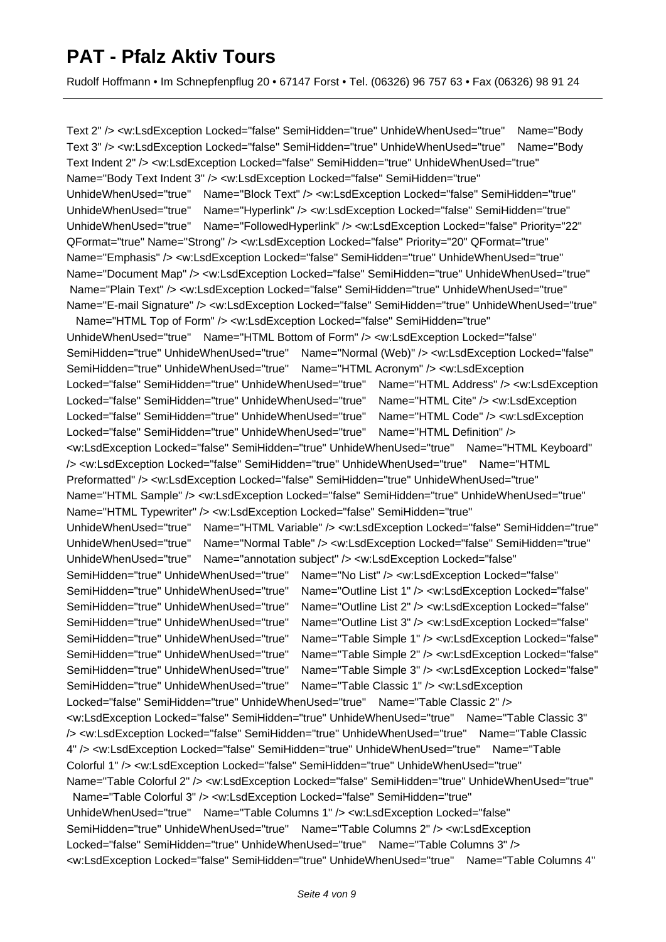Rudolf Hoffmann • Im Schnepfenpflug 20 • 67147 Forst • Tel. (06326) 96 757 63 • Fax (06326) 98 91 24

Text 2" /> <w:LsdException Locked="false" SemiHidden="true" UnhideWhenUsed="true" Name="Body Text 3" /> <w:LsdException Locked="false" SemiHidden="true" UnhideWhenUsed="true" Name="Body Text Indent 2" /> <w:LsdException Locked="false" SemiHidden="true" UnhideWhenUsed="true" Name="Body Text Indent 3" /> <w:LsdException Locked="false" SemiHidden="true" UnhideWhenUsed="true" Name="Block Text" /> <w:LsdException Locked="false" SemiHidden="true" UnhideWhenUsed="true" Name="Hyperlink" /> <w:LsdException Locked="false" SemiHidden="true" UnhideWhenUsed="true" Name="FollowedHyperlink" /> <w:LsdException Locked="false" Priority="22" QFormat="true" Name="Strong" /> <w:LsdException Locked="false" Priority="20" QFormat="true" Name="Emphasis" /> <w:LsdException Locked="false" SemiHidden="true" UnhideWhenUsed="true" Name="Document Map" /> <w:LsdException Locked="false" SemiHidden="true" UnhideWhenUsed="true" Name="Plain Text" /> <w:LsdException Locked="false" SemiHidden="true" UnhideWhenUsed="true" Name="E-mail Signature" /> <w:LsdException Locked="false" SemiHidden="true" UnhideWhenUsed="true" Name="HTML Top of Form" /> <w:LsdException Locked="false" SemiHidden="true" UnhideWhenUsed="true" Name="HTML Bottom of Form" /> <w:LsdException Locked="false" SemiHidden="true" UnhideWhenUsed="true" Name="Normal (Web)" /> <w:LsdException Locked="false"

SemiHidden="true" UnhideWhenUsed="true" Name="HTML Acronym" /> <w:LsdException Locked="false" SemiHidden="true" UnhideWhenUsed="true" Name="HTML Address" /> <w:LsdException Locked="false" SemiHidden="true" UnhideWhenUsed="true" Name="HTML Cite" /> <w:LsdException Locked="false" SemiHidden="true" UnhideWhenUsed="true" Name="HTML Code" /> <w:LsdException Locked="false" SemiHidden="true" UnhideWhenUsed="true" Name="HTML Definition" /> <w:LsdException Locked="false" SemiHidden="true" UnhideWhenUsed="true" Name="HTML Keyboard" /> <w:LsdException Locked="false" SemiHidden="true" UnhideWhenUsed="true" Name="HTML Preformatted" /> <w:LsdException Locked="false" SemiHidden="true" UnhideWhenUsed="true" Name="HTML Sample" /> <w:LsdException Locked="false" SemiHidden="true" UnhideWhenUsed="true" Name="HTML Typewriter" /> <w:LsdException Locked="false" SemiHidden="true"

UnhideWhenUsed="true" Name="HTML Variable" /> <w:LsdException Locked="false" SemiHidden="true" UnhideWhenUsed="true" Name="Normal Table" /> <w:LsdException Locked="false" SemiHidden="true" UnhideWhenUsed="true" Name="annotation subject" /> <w:LsdException Locked="false"

SemiHidden="true" UnhideWhenUsed="true" Name="No List" /> <w:LsdException Locked="false"

SemiHidden="true" UnhideWhenUsed="true" Name="Outline List 1" /> <w:LsdException Locked="false" SemiHidden="true" UnhideWhenUsed="true" Name="Outline List 2" /> <w:LsdException Locked="false" SemiHidden="true" UnhideWhenUsed="true" Name="Outline List 3" /> <w:LsdException Locked="false" SemiHidden="true" UnhideWhenUsed="true" Name="Table Simple 1" /> <w:LsdException Locked="false" SemiHidden="true" UnhideWhenUsed="true" Name="Table Simple 2" /> <w:LsdException Locked="false" SemiHidden="true" UnhideWhenUsed="true" Name="Table Simple 3" /> <w:LsdException Locked="false" SemiHidden="true" UnhideWhenUsed="true" Name="Table Classic 1" /> <w:LsdException Locked="false" SemiHidden="true" UnhideWhenUsed="true" Name="Table Classic 2" />

<w:LsdException Locked="false" SemiHidden="true" UnhideWhenUsed="true" Name="Table Classic 3" /> <w:LsdException Locked="false" SemiHidden="true" UnhideWhenUsed="true" Name="Table Classic 4" /> <w:LsdException Locked="false" SemiHidden="true" UnhideWhenUsed="true" Name="Table Colorful 1" /> <w:LsdException Locked="false" SemiHidden="true" UnhideWhenUsed="true" Name="Table Colorful 2" /> <w:LsdException Locked="false" SemiHidden="true" UnhideWhenUsed="true"

 Name="Table Colorful 3" /> <w:LsdException Locked="false" SemiHidden="true" UnhideWhenUsed="true" Name="Table Columns 1" /> <w:LsdException Locked="false" SemiHidden="true" UnhideWhenUsed="true" Name="Table Columns 2" /> <w:LsdException Locked="false" SemiHidden="true" UnhideWhenUsed="true" Name="Table Columns 3" /> <w:LsdException Locked="false" SemiHidden="true" UnhideWhenUsed="true" Name="Table Columns 4"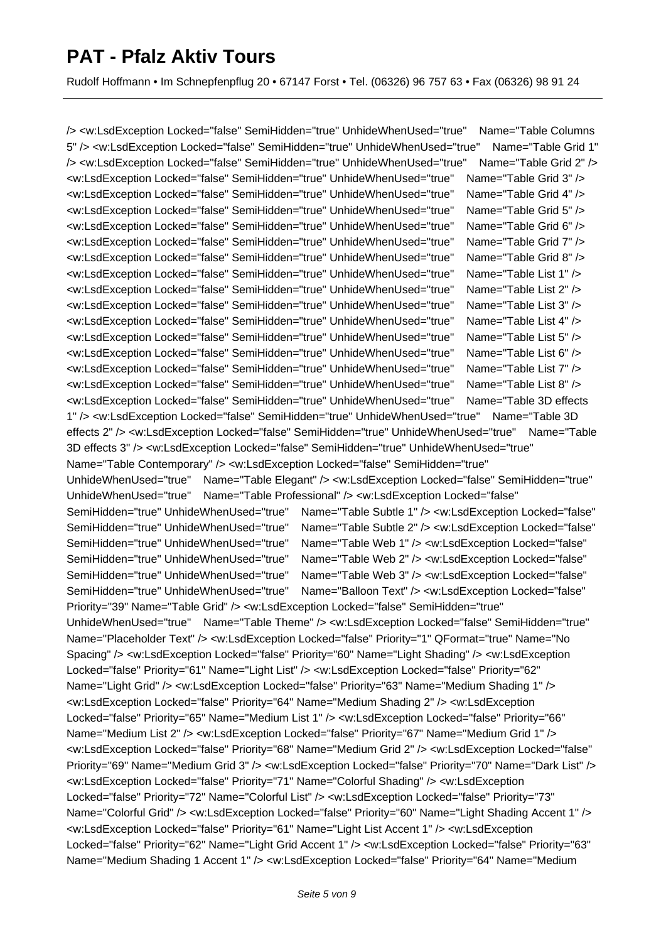Rudolf Hoffmann • Im Schnepfenpflug 20 • 67147 Forst • Tel. (06326) 96 757 63 • Fax (06326) 98 91 24

/> <w:LsdException Locked="false" SemiHidden="true" UnhideWhenUsed="true" Name="Table Columns 5" /> <w:LsdException Locked="false" SemiHidden="true" UnhideWhenUsed="true" Name="Table Grid 1" /> <w:LsdException Locked="false" SemiHidden="true" UnhideWhenUsed="true" Name="Table Grid 2" /> <w:LsdException Locked="false" SemiHidden="true" UnhideWhenUsed="true" Name="Table Grid 3" /> <w:LsdException Locked="false" SemiHidden="true" UnhideWhenUsed="true" Name="Table Grid 4" /> <w:LsdException Locked="false" SemiHidden="true" UnhideWhenUsed="true" Name="Table Grid 5" /> <w:LsdException Locked="false" SemiHidden="true" UnhideWhenUsed="true" Name="Table Grid 6" /> <w:LsdException Locked="false" SemiHidden="true" UnhideWhenUsed="true" Name="Table Grid 7" /> <w:LsdException Locked="false" SemiHidden="true" UnhideWhenUsed="true" Name="Table Grid 8" /> <w:LsdException Locked="false" SemiHidden="true" UnhideWhenUsed="true" Name="Table List 1" /> <w:LsdException Locked="false" SemiHidden="true" UnhideWhenUsed="true" Name="Table List 2" /> <w:LsdException Locked="false" SemiHidden="true" UnhideWhenUsed="true" Name="Table List 3" /> <w:LsdException Locked="false" SemiHidden="true" UnhideWhenUsed="true" Name="Table List 4" /> <w:LsdException Locked="false" SemiHidden="true" UnhideWhenUsed="true" Name="Table List 5" /> <w:LsdException Locked="false" SemiHidden="true" UnhideWhenUsed="true" Name="Table List 6" /> <w:LsdException Locked="false" SemiHidden="true" UnhideWhenUsed="true" Name="Table List 7" /> <w:LsdException Locked="false" SemiHidden="true" UnhideWhenUsed="true" Name="Table List 8" /> <w:LsdException Locked="false" SemiHidden="true" UnhideWhenUsed="true" Name="Table 3D effects 1" /> <w:LsdException Locked="false" SemiHidden="true" UnhideWhenUsed="true" Name="Table 3D effects 2" /> <w:LsdException Locked="false" SemiHidden="true" UnhideWhenUsed="true" Name="Table 3D effects 3" /> <w:LsdException Locked="false" SemiHidden="true" UnhideWhenUsed="true" Name="Table Contemporary" /> <w:LsdException Locked="false" SemiHidden="true" UnhideWhenUsed="true" Name="Table Elegant" /> <w:LsdException Locked="false" SemiHidden="true" UnhideWhenUsed="true" Name="Table Professional" /> <w:LsdException Locked="false" SemiHidden="true" UnhideWhenUsed="true" Name="Table Subtle 1" /> <w:LsdException Locked="false" SemiHidden="true" UnhideWhenUsed="true" Name="Table Subtle 2" /> <w:LsdException Locked="false" SemiHidden="true" UnhideWhenUsed="true" Name="Table Web 1" /> <w:LsdException Locked="false" SemiHidden="true" UnhideWhenUsed="true" Name="Table Web 2" /> <w:LsdException Locked="false" SemiHidden="true" UnhideWhenUsed="true" Name="Table Web 3" /> <w:LsdException Locked="false" SemiHidden="true" UnhideWhenUsed="true" Name="Balloon Text" /> <w:LsdException Locked="false" Priority="39" Name="Table Grid" /> <w:LsdException Locked="false" SemiHidden="true" UnhideWhenUsed="true" Name="Table Theme" /> <w:LsdException Locked="false" SemiHidden="true" Name="Placeholder Text" /> <w:LsdException Locked="false" Priority="1" QFormat="true" Name="No Spacing" /> <w:LsdException Locked="false" Priority="60" Name="Light Shading" /> <w:LsdException Locked="false" Priority="61" Name="Light List" /> <w:LsdException Locked="false" Priority="62" Name="Light Grid" /> <w:LsdException Locked="false" Priority="63" Name="Medium Shading 1" /> <w:LsdException Locked="false" Priority="64" Name="Medium Shading 2" /> <w:LsdException Locked="false" Priority="65" Name="Medium List 1" /> <w:LsdException Locked="false" Priority="66" Name="Medium List 2" /> <w:LsdException Locked="false" Priority="67" Name="Medium Grid 1" /> <w:LsdException Locked="false" Priority="68" Name="Medium Grid 2" /> <w:LsdException Locked="false" Priority="69" Name="Medium Grid 3" /> <w:LsdException Locked="false" Priority="70" Name="Dark List" /> <w:LsdException Locked="false" Priority="71" Name="Colorful Shading" /> <w:LsdException Locked="false" Priority="72" Name="Colorful List" /> <w:LsdException Locked="false" Priority="73" Name="Colorful Grid" /> <w:LsdException Locked="false" Priority="60" Name="Light Shading Accent 1" /> <w:LsdException Locked="false" Priority="61" Name="Light List Accent 1" /> <w:LsdException Locked="false" Priority="62" Name="Light Grid Accent 1" /> <w:LsdException Locked="false" Priority="63" Name="Medium Shading 1 Accent 1" /> <w:LsdException Locked="false" Priority="64" Name="Medium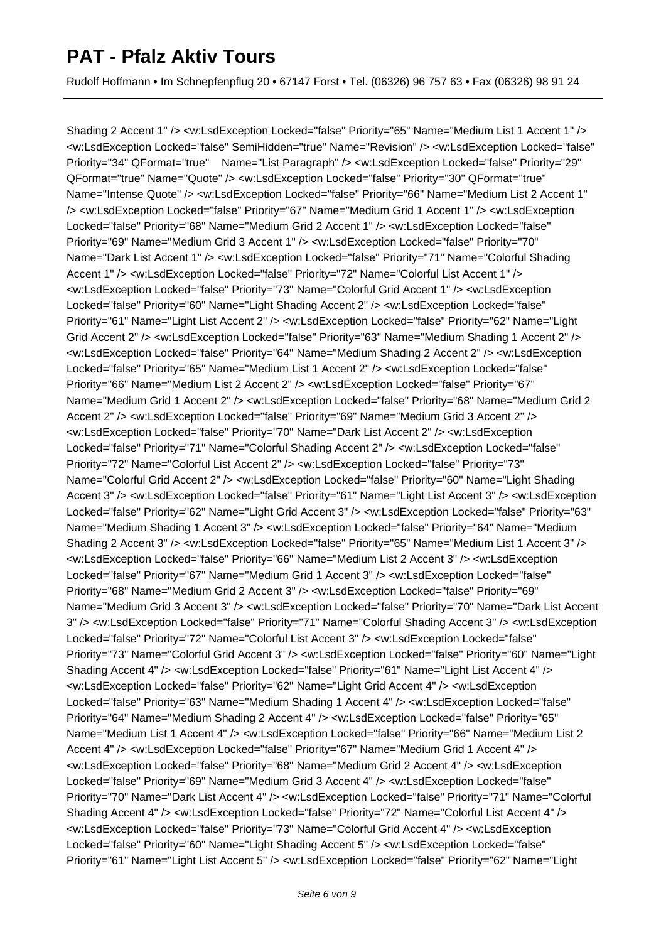Rudolf Hoffmann • Im Schnepfenpflug 20 • 67147 Forst • Tel. (06326) 96 757 63 • Fax (06326) 98 91 24

Shading 2 Accent 1" /> <w:LsdException Locked="false" Priority="65" Name="Medium List 1 Accent 1" /> <w:LsdException Locked="false" SemiHidden="true" Name="Revision" /> <w:LsdException Locked="false" Priority="34" QFormat="true" Name="List Paragraph" /> <w:LsdException Locked="false" Priority="29" QFormat="true" Name="Quote" /> <w:LsdException Locked="false" Priority="30" QFormat="true" Name="Intense Quote" /> <w:LsdException Locked="false" Priority="66" Name="Medium List 2 Accent 1" /> <w:LsdException Locked="false" Priority="67" Name="Medium Grid 1 Accent 1" /> <w:LsdException Locked="false" Priority="68" Name="Medium Grid 2 Accent 1" /> <w:LsdException Locked="false" Priority="69" Name="Medium Grid 3 Accent 1" /> <w:LsdException Locked="false" Priority="70" Name="Dark List Accent 1" /> <w:LsdException Locked="false" Priority="71" Name="Colorful Shading Accent 1" /> <w:LsdException Locked="false" Priority="72" Name="Colorful List Accent 1" /> <w:LsdException Locked="false" Priority="73" Name="Colorful Grid Accent 1" /> <w:LsdException Locked="false" Priority="60" Name="Light Shading Accent 2" /> <w:LsdException Locked="false" Priority="61" Name="Light List Accent 2" /> <w:LsdException Locked="false" Priority="62" Name="Light Grid Accent 2" /> <w:LsdException Locked="false" Priority="63" Name="Medium Shading 1 Accent 2" /> <w:LsdException Locked="false" Priority="64" Name="Medium Shading 2 Accent 2" /> <w:LsdException Locked="false" Priority="65" Name="Medium List 1 Accent 2" /> <w:LsdException Locked="false" Priority="66" Name="Medium List 2 Accent 2" /> <w:LsdException Locked="false" Priority="67" Name="Medium Grid 1 Accent 2" /> <w:LsdException Locked="false" Priority="68" Name="Medium Grid 2 Accent 2" /> <w:LsdException Locked="false" Priority="69" Name="Medium Grid 3 Accent 2" /> <w:LsdException Locked="false" Priority="70" Name="Dark List Accent 2" /> <w:LsdException Locked="false" Priority="71" Name="Colorful Shading Accent 2" /> <w:LsdException Locked="false" Priority="72" Name="Colorful List Accent 2" /> <w:LsdException Locked="false" Priority="73" Name="Colorful Grid Accent 2" /> <w:LsdException Locked="false" Priority="60" Name="Light Shading Accent 3" /> <w:LsdException Locked="false" Priority="61" Name="Light List Accent 3" /> <w:LsdException Locked="false" Priority="62" Name="Light Grid Accent 3" /> <w:LsdException Locked="false" Priority="63" Name="Medium Shading 1 Accent 3" /> <w:LsdException Locked="false" Priority="64" Name="Medium Shading 2 Accent 3" /> <w:LsdException Locked="false" Priority="65" Name="Medium List 1 Accent 3" /> <w:LsdException Locked="false" Priority="66" Name="Medium List 2 Accent 3" /> <w:LsdException Locked="false" Priority="67" Name="Medium Grid 1 Accent 3" /> <w:LsdException Locked="false" Priority="68" Name="Medium Grid 2 Accent 3" /> <w:LsdException Locked="false" Priority="69" Name="Medium Grid 3 Accent 3" /> <w:LsdException Locked="false" Priority="70" Name="Dark List Accent 3" /> <w:LsdException Locked="false" Priority="71" Name="Colorful Shading Accent 3" /> <w:LsdException Locked="false" Priority="72" Name="Colorful List Accent 3" /> <w:LsdException Locked="false" Priority="73" Name="Colorful Grid Accent 3" /> <w:LsdException Locked="false" Priority="60" Name="Light Shading Accent 4" /> <w:LsdException Locked="false" Priority="61" Name="Light List Accent 4" /> <w:LsdException Locked="false" Priority="62" Name="Light Grid Accent 4" /> <w:LsdException Locked="false" Priority="63" Name="Medium Shading 1 Accent 4" /> <w:LsdException Locked="false" Priority="64" Name="Medium Shading 2 Accent 4" /> <w:LsdException Locked="false" Priority="65" Name="Medium List 1 Accent 4" /> <w:LsdException Locked="false" Priority="66" Name="Medium List 2 Accent 4" /> <w:LsdException Locked="false" Priority="67" Name="Medium Grid 1 Accent 4" /> <w:LsdException Locked="false" Priority="68" Name="Medium Grid 2 Accent 4" /> <w:LsdException Locked="false" Priority="69" Name="Medium Grid 3 Accent 4" /> <w:LsdException Locked="false" Priority="70" Name="Dark List Accent 4" /> <w:LsdException Locked="false" Priority="71" Name="Colorful Shading Accent 4" /> <w:LsdException Locked="false" Priority="72" Name="Colorful List Accent 4" /> <w:LsdException Locked="false" Priority="73" Name="Colorful Grid Accent 4" /> <w:LsdException Locked="false" Priority="60" Name="Light Shading Accent 5" /> <w:LsdException Locked="false" Priority="61" Name="Light List Accent 5" /> <w:LsdException Locked="false" Priority="62" Name="Light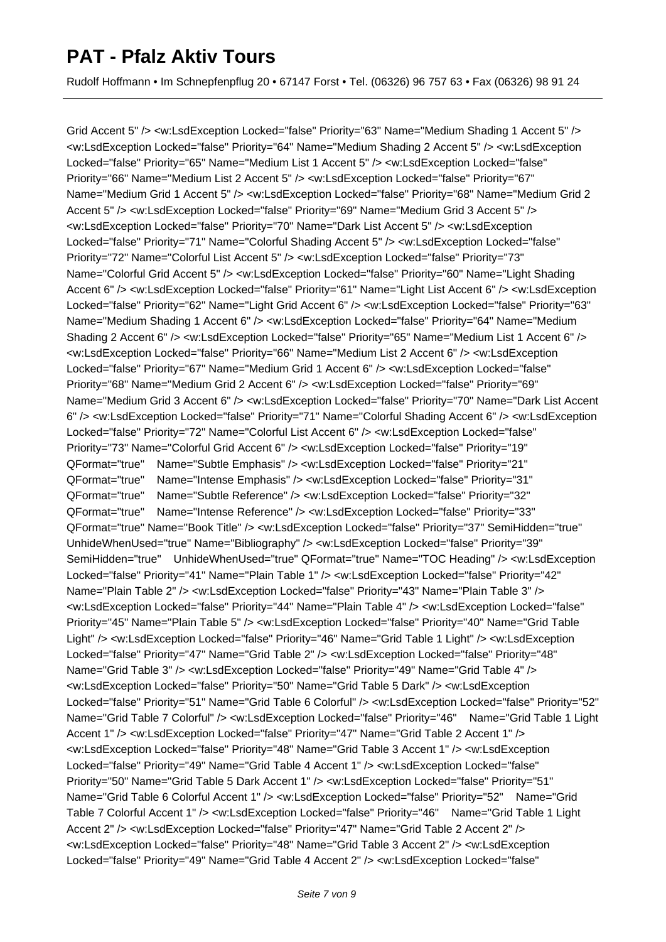Rudolf Hoffmann • Im Schnepfenpflug 20 • 67147 Forst • Tel. (06326) 96 757 63 • Fax (06326) 98 91 24

Grid Accent 5" /> <w:LsdException Locked="false" Priority="63" Name="Medium Shading 1 Accent 5" /> <w:LsdException Locked="false" Priority="64" Name="Medium Shading 2 Accent 5" /> <w:LsdException Locked="false" Priority="65" Name="Medium List 1 Accent 5" /> <w:LsdException Locked="false" Priority="66" Name="Medium List 2 Accent 5" /> <w:LsdException Locked="false" Priority="67" Name="Medium Grid 1 Accent 5" /> <w:LsdException Locked="false" Priority="68" Name="Medium Grid 2 Accent 5" /> <w:LsdException Locked="false" Priority="69" Name="Medium Grid 3 Accent 5" /> <w:LsdException Locked="false" Priority="70" Name="Dark List Accent 5" /> <w:LsdException Locked="false" Priority="71" Name="Colorful Shading Accent 5" /> <w:LsdException Locked="false" Priority="72" Name="Colorful List Accent 5" /> <w:LsdException Locked="false" Priority="73" Name="Colorful Grid Accent 5" /> <w:LsdException Locked="false" Priority="60" Name="Light Shading Accent 6" /> <w:LsdException Locked="false" Priority="61" Name="Light List Accent 6" /> <w:LsdException Locked="false" Priority="62" Name="Light Grid Accent 6" /> <w:LsdException Locked="false" Priority="63" Name="Medium Shading 1 Accent 6" /> <w:LsdException Locked="false" Priority="64" Name="Medium Shading 2 Accent 6" /> <w:LsdException Locked="false" Priority="65" Name="Medium List 1 Accent 6" /> <w:LsdException Locked="false" Priority="66" Name="Medium List 2 Accent 6" /> <w:LsdException Locked="false" Priority="67" Name="Medium Grid 1 Accent 6" /> <w:LsdException Locked="false" Priority="68" Name="Medium Grid 2 Accent 6" /> <w:LsdException Locked="false" Priority="69" Name="Medium Grid 3 Accent 6" /> <w:LsdException Locked="false" Priority="70" Name="Dark List Accent 6" /> <w:LsdException Locked="false" Priority="71" Name="Colorful Shading Accent 6" /> <w:LsdException Locked="false" Priority="72" Name="Colorful List Accent 6" /> <w:LsdException Locked="false" Priority="73" Name="Colorful Grid Accent 6" /> <w:LsdException Locked="false" Priority="19" QFormat="true" Name="Subtle Emphasis" /> <w:LsdException Locked="false" Priority="21" QFormat="true" Name="Intense Emphasis" /> <w:LsdException Locked="false" Priority="31" QFormat="true" Name="Subtle Reference" /> <w:LsdException Locked="false" Priority="32" QFormat="true" Name="Intense Reference" /> <w:LsdException Locked="false" Priority="33" QFormat="true" Name="Book Title" /> <w:LsdException Locked="false" Priority="37" SemiHidden="true" UnhideWhenUsed="true" Name="Bibliography" /> <w:LsdException Locked="false" Priority="39" SemiHidden="true" UnhideWhenUsed="true" QFormat="true" Name="TOC Heading" /> <w:LsdException Locked="false" Priority="41" Name="Plain Table 1" /> <w:LsdException Locked="false" Priority="42" Name="Plain Table 2" /> <w:LsdException Locked="false" Priority="43" Name="Plain Table 3" /> <w:LsdException Locked="false" Priority="44" Name="Plain Table 4" /> <w:LsdException Locked="false" Priority="45" Name="Plain Table 5" /> <w:LsdException Locked="false" Priority="40" Name="Grid Table Light" /> <w:LsdException Locked="false" Priority="46" Name="Grid Table 1 Light" /> <w:LsdException Locked="false" Priority="47" Name="Grid Table 2" /> <w:LsdException Locked="false" Priority="48" Name="Grid Table 3" /> <w:LsdException Locked="false" Priority="49" Name="Grid Table 4" /> <w:LsdException Locked="false" Priority="50" Name="Grid Table 5 Dark" /> <w:LsdException Locked="false" Priority="51" Name="Grid Table 6 Colorful" /> <w:LsdException Locked="false" Priority="52" Name="Grid Table 7 Colorful" /> <w:LsdException Locked="false" Priority="46" Name="Grid Table 1 Light Accent 1" /> <w:LsdException Locked="false" Priority="47" Name="Grid Table 2 Accent 1" /> <w:LsdException Locked="false" Priority="48" Name="Grid Table 3 Accent 1" /> <w:LsdException Locked="false" Priority="49" Name="Grid Table 4 Accent 1" /> <w:LsdException Locked="false" Priority="50" Name="Grid Table 5 Dark Accent 1" /> <w:LsdException Locked="false" Priority="51" Name="Grid Table 6 Colorful Accent 1" /> <w:LsdException Locked="false" Priority="52" Name="Grid Table 7 Colorful Accent 1" /> <w:LsdException Locked="false" Priority="46" Name="Grid Table 1 Light Accent 2" /> <w:LsdException Locked="false" Priority="47" Name="Grid Table 2 Accent 2" /> <w:LsdException Locked="false" Priority="48" Name="Grid Table 3 Accent 2" /> <w:LsdException Locked="false" Priority="49" Name="Grid Table 4 Accent 2" /> <w:LsdException Locked="false"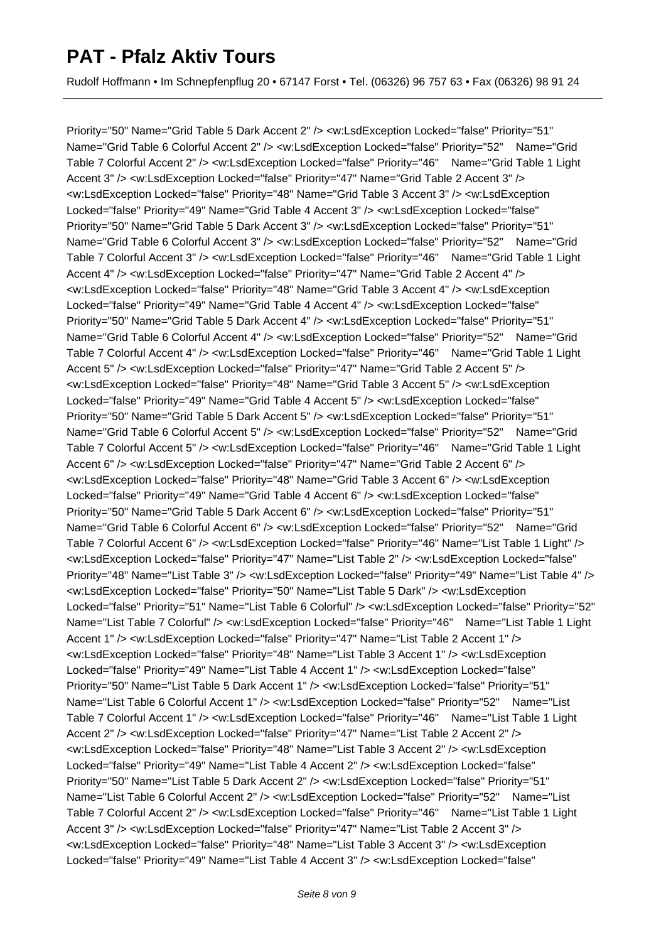Rudolf Hoffmann • Im Schnepfenpflug 20 • 67147 Forst • Tel. (06326) 96 757 63 • Fax (06326) 98 91 24

Priority="50" Name="Grid Table 5 Dark Accent 2" /> <w:LsdException Locked="false" Priority="51" Name="Grid Table 6 Colorful Accent 2" /> <w:LsdException Locked="false" Priority="52" Name="Grid Table 7 Colorful Accent 2" /> <w:LsdException Locked="false" Priority="46" Name="Grid Table 1 Light Accent 3" /> <w:LsdException Locked="false" Priority="47" Name="Grid Table 2 Accent 3" /> <w:LsdException Locked="false" Priority="48" Name="Grid Table 3 Accent 3" /> <w:LsdException Locked="false" Priority="49" Name="Grid Table 4 Accent 3" /> <w:LsdException Locked="false" Priority="50" Name="Grid Table 5 Dark Accent 3" /> <w:LsdException Locked="false" Priority="51" Name="Grid Table 6 Colorful Accent 3" /> <w:LsdException Locked="false" Priority="52" Name="Grid Table 7 Colorful Accent 3" /> <w:LsdException Locked="false" Priority="46" Name="Grid Table 1 Light Accent 4" /> <w:LsdException Locked="false" Priority="47" Name="Grid Table 2 Accent 4" /> <w:LsdException Locked="false" Priority="48" Name="Grid Table 3 Accent 4" /> <w:LsdException Locked="false" Priority="49" Name="Grid Table 4 Accent 4" /> <w:LsdException Locked="false" Priority="50" Name="Grid Table 5 Dark Accent 4" /> <w:LsdException Locked="false" Priority="51" Name="Grid Table 6 Colorful Accent 4" /> <w:LsdException Locked="false" Priority="52" Name="Grid Table 7 Colorful Accent 4" /> <w:LsdException Locked="false" Priority="46" Name="Grid Table 1 Light Accent 5" /> <w:LsdException Locked="false" Priority="47" Name="Grid Table 2 Accent 5" /> <w:LsdException Locked="false" Priority="48" Name="Grid Table 3 Accent 5" /> <w:LsdException Locked="false" Priority="49" Name="Grid Table 4 Accent 5" /> <w:LsdException Locked="false" Priority="50" Name="Grid Table 5 Dark Accent 5" /> <w:LsdException Locked="false" Priority="51" Name="Grid Table 6 Colorful Accent 5" /> <w:LsdException Locked="false" Priority="52" Name="Grid Table 7 Colorful Accent 5" /> <w:LsdException Locked="false" Priority="46" Name="Grid Table 1 Light Accent 6" /> <w:LsdException Locked="false" Priority="47" Name="Grid Table 2 Accent 6" /> <w:LsdException Locked="false" Priority="48" Name="Grid Table 3 Accent 6" /> <w:LsdException Locked="false" Priority="49" Name="Grid Table 4 Accent 6" /> <w:LsdException Locked="false" Priority="50" Name="Grid Table 5 Dark Accent 6" /> <w:LsdException Locked="false" Priority="51" Name="Grid Table 6 Colorful Accent 6" /> <w:LsdException Locked="false" Priority="52" Name="Grid Table 7 Colorful Accent 6" /> <w:LsdException Locked="false" Priority="46" Name="List Table 1 Light" /> <w:LsdException Locked="false" Priority="47" Name="List Table 2" /> <w:LsdException Locked="false" Priority="48" Name="List Table 3" /> <w:LsdException Locked="false" Priority="49" Name="List Table 4" /> <w:LsdException Locked="false" Priority="50" Name="List Table 5 Dark" /> <w:LsdException Locked="false" Priority="51" Name="List Table 6 Colorful" /> <w:LsdException Locked="false" Priority="52" Name="List Table 7 Colorful" /> <w:LsdException Locked="false" Priority="46" Name="List Table 1 Light Accent 1" /> <w:LsdException Locked="false" Priority="47" Name="List Table 2 Accent 1" /> <w:LsdException Locked="false" Priority="48" Name="List Table 3 Accent 1" /> <w:LsdException Locked="false" Priority="49" Name="List Table 4 Accent 1" /> <w:LsdException Locked="false" Priority="50" Name="List Table 5 Dark Accent 1" /> <w:LsdException Locked="false" Priority="51" Name="List Table 6 Colorful Accent 1" /> <w:LsdException Locked="false" Priority="52" Name="List Table 7 Colorful Accent 1" /> <w:LsdException Locked="false" Priority="46" Name="List Table 1 Light Accent 2" /> <w:LsdException Locked="false" Priority="47" Name="List Table 2 Accent 2" /> <w:LsdException Locked="false" Priority="48" Name="List Table 3 Accent 2" /> <w:LsdException Locked="false" Priority="49" Name="List Table 4 Accent 2" /> <w:LsdException Locked="false" Priority="50" Name="List Table 5 Dark Accent 2" /> <w:LsdException Locked="false" Priority="51" Name="List Table 6 Colorful Accent 2" /> <w:LsdException Locked="false" Priority="52" Name="List Table 7 Colorful Accent 2" /> <w:LsdException Locked="false" Priority="46" Name="List Table 1 Light Accent 3" /> <w:LsdException Locked="false" Priority="47" Name="List Table 2 Accent 3" /> <w:LsdException Locked="false" Priority="48" Name="List Table 3 Accent 3" /> <w:LsdException Locked="false" Priority="49" Name="List Table 4 Accent 3" /> <w:LsdException Locked="false"